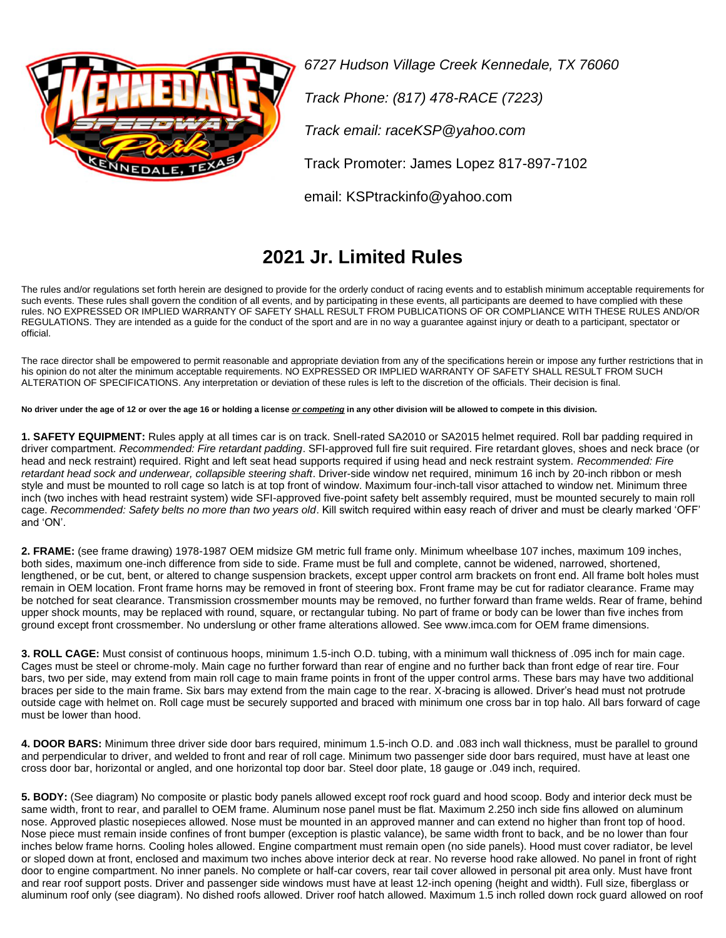

*6727 Hudson Village Creek Kennedale, TX 76060 Track Phone: (817) 478-RACE (7223) Track email: raceKSP@yahoo.com* Track Promoter: James Lopez 817-897-7102

email: KSPtrackinfo@yahoo.com

## **2021 Jr. Limited Rules**

The rules and/or regulations set forth herein are designed to provide for the orderly conduct of racing events and to establish minimum acceptable requirements for such events. These rules shall govern the condition of all events, and by participating in these events, all participants are deemed to have complied with these rules. NO EXPRESSED OR IMPLIED WARRANTY OF SAFETY SHALL RESULT FROM PUBLICATIONS OF OR COMPLIANCE WITH THESE RULES AND/OR REGULATIONS. They are intended as a guide for the conduct of the sport and are in no way a guarantee against injury or death to a participant, spectator or official.

The race director shall be empowered to permit reasonable and appropriate deviation from any of the specifications herein or impose any further restrictions that in his opinion do not alter the minimum acceptable requirements. NO EXPRESSED OR IMPLIED WARRANTY OF SAFETY SHALL RESULT FROM SUCH ALTERATION OF SPECIFICATIONS. Any interpretation or deviation of these rules is left to the discretion of the officials. Their decision is final.

**No driver under the age of 12 or over the age 16 or holding a license** *or competing* **in any other division will be allowed to compete in this division.** 

**1. SAFETY EQUIPMENT:** Rules apply at all times car is on track. Snell-rated SA2010 or SA2015 helmet required. Roll bar padding required in driver compartment. *Recommended: Fire retardant padding*. SFI-approved full fire suit required. Fire retardant gloves, shoes and neck brace (or head and neck restraint) required. Right and left seat head supports required if using head and neck restraint system. *Recommended: Fire retardant head sock and underwear, collapsible steering shaft*. Driver-side window net required, minimum 16 inch by 20-inch ribbon or mesh style and must be mounted to roll cage so latch is at top front of window. Maximum four-inch-tall visor attached to window net. Minimum three inch (two inches with head restraint system) wide SFI-approved five-point safety belt assembly required, must be mounted securely to main roll cage. *Recommended: Safety belts no more than two years old*. Kill switch required within easy reach of driver and must be clearly marked 'OFF' and 'ON'.

**2. FRAME:** (see frame drawing) 1978-1987 OEM midsize GM metric full frame only. Minimum wheelbase 107 inches, maximum 109 inches, both sides, maximum one-inch difference from side to side. Frame must be full and complete, cannot be widened, narrowed, shortened, lengthened, or be cut, bent, or altered to change suspension brackets, except upper control arm brackets on front end. All frame bolt holes must remain in OEM location. Front frame horns may be removed in front of steering box. Front frame may be cut for radiator clearance. Frame may be notched for seat clearance. Transmission crossmember mounts may be removed, no further forward than frame welds. Rear of frame, behind upper shock mounts, may be replaced with round, square, or rectangular tubing. No part of frame or body can be lower than five inches from ground except front crossmember. No underslung or other frame alterations allowed. See www.imca.com for OEM frame dimensions.

**3. ROLL CAGE:** Must consist of continuous hoops, minimum 1.5-inch O.D. tubing, with a minimum wall thickness of .095 inch for main cage. Cages must be steel or chrome-moly. Main cage no further forward than rear of engine and no further back than front edge of rear tire. Four bars, two per side, may extend from main roll cage to main frame points in front of the upper control arms. These bars may have two additional braces per side to the main frame. Six bars may extend from the main cage to the rear. X-bracing is allowed. Driver's head must not protrude outside cage with helmet on. Roll cage must be securely supported and braced with minimum one cross bar in top halo. All bars forward of cage must be lower than hood.

**4. DOOR BARS:** Minimum three driver side door bars required, minimum 1.5-inch O.D. and .083 inch wall thickness, must be parallel to ground and perpendicular to driver, and welded to front and rear of roll cage. Minimum two passenger side door bars required, must have at least one cross door bar, horizontal or angled, and one horizontal top door bar. Steel door plate, 18 gauge or .049 inch, required.

**5. BODY:** (See diagram) No composite or plastic body panels allowed except roof rock guard and hood scoop. Body and interior deck must be same width, front to rear, and parallel to OEM frame. Aluminum nose panel must be flat. Maximum 2.250 inch side fins allowed on aluminum nose. Approved plastic nosepieces allowed. Nose must be mounted in an approved manner and can extend no higher than front top of hood. Nose piece must remain inside confines of front bumper (exception is plastic valance), be same width front to back, and be no lower than four inches below frame horns. Cooling holes allowed. Engine compartment must remain open (no side panels). Hood must cover radiator, be level or sloped down at front, enclosed and maximum two inches above interior deck at rear. No reverse hood rake allowed. No panel in front of right door to engine compartment. No inner panels. No complete or half-car covers, rear tail cover allowed in personal pit area only. Must have front and rear roof support posts. Driver and passenger side windows must have at least 12-inch opening (height and width). Full size, fiberglass or aluminum roof only (see diagram). No dished roofs allowed. Driver roof hatch allowed. Maximum 1.5 inch rolled down rock guard allowed on roof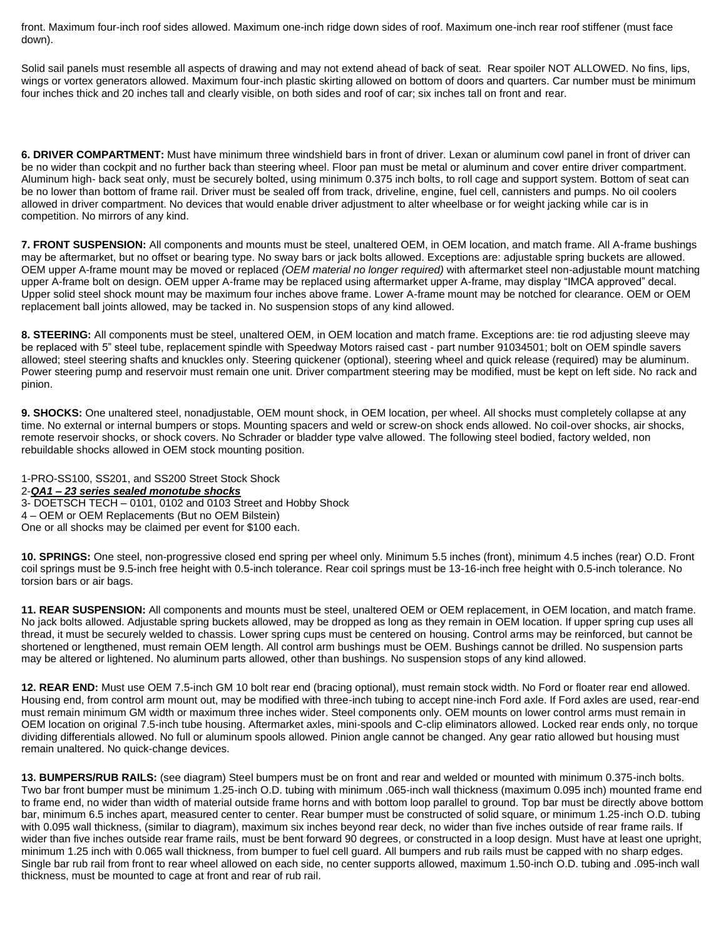front. Maximum four-inch roof sides allowed. Maximum one-inch ridge down sides of roof. Maximum one-inch rear roof stiffener (must face down).

Solid sail panels must resemble all aspects of drawing and may not extend ahead of back of seat. Rear spoiler NOT ALLOWED. No fins, lips, wings or vortex generators allowed. Maximum four-inch plastic skirting allowed on bottom of doors and quarters. Car number must be minimum four inches thick and 20 inches tall and clearly visible, on both sides and roof of car; six inches tall on front and rear.

**6. DRIVER COMPARTMENT:** Must have minimum three windshield bars in front of driver. Lexan or aluminum cowl panel in front of driver can be no wider than cockpit and no further back than steering wheel. Floor pan must be metal or aluminum and cover entire driver compartment. Aluminum high- back seat only, must be securely bolted, using minimum 0.375 inch bolts, to roll cage and support system. Bottom of seat can be no lower than bottom of frame rail. Driver must be sealed off from track, driveline, engine, fuel cell, cannisters and pumps. No oil coolers allowed in driver compartment. No devices that would enable driver adjustment to alter wheelbase or for weight jacking while car is in competition. No mirrors of any kind.

**7. FRONT SUSPENSION:** All components and mounts must be steel, unaltered OEM, in OEM location, and match frame. All A-frame bushings may be aftermarket, but no offset or bearing type. No sway bars or jack bolts allowed. Exceptions are: adjustable spring buckets are allowed. OEM upper A-frame mount may be moved or replaced *(OEM material no longer required)* with aftermarket steel non-adjustable mount matching upper A-frame bolt on design. OEM upper A-frame may be replaced using aftermarket upper A-frame, may display "IMCA approved" decal. Upper solid steel shock mount may be maximum four inches above frame. Lower A-frame mount may be notched for clearance. OEM or OEM replacement ball joints allowed, may be tacked in. No suspension stops of any kind allowed.

**8. STEERING:** All components must be steel, unaltered OEM, in OEM location and match frame. Exceptions are: tie rod adjusting sleeve may be replaced with 5" steel tube, replacement spindle with Speedway Motors raised cast - part number 91034501; bolt on OEM spindle savers allowed; steel steering shafts and knuckles only. Steering quickener (optional), steering wheel and quick release (required) may be aluminum. Power steering pump and reservoir must remain one unit. Driver compartment steering may be modified, must be kept on left side. No rack and pinion.

**9. SHOCKS:** One unaltered steel, nonadjustable, OEM mount shock, in OEM location, per wheel. All shocks must completely collapse at any time. No external or internal bumpers or stops. Mounting spacers and weld or screw-on shock ends allowed. No coil-over shocks, air shocks, remote reservoir shocks, or shock covers. No Schrader or bladder type valve allowed. The following steel bodied, factory welded, non rebuildable shocks allowed in OEM stock mounting position.

1-PRO-SS100, SS201, and SS200 Street Stock Shock 2-*QA1 – 23 series sealed monotube shocks* 3- DOETSCH TECH – 0101, 0102 and 0103 Street and Hobby Shock 4 – OEM or OEM Replacements (But no OEM Bilstein) One or all shocks may be claimed per event for \$100 each.

**10. SPRINGS:** One steel, non-progressive closed end spring per wheel only. Minimum 5.5 inches (front), minimum 4.5 inches (rear) O.D. Front coil springs must be 9.5-inch free height with 0.5-inch tolerance. Rear coil springs must be 13-16-inch free height with 0.5-inch tolerance. No torsion bars or air bags.

**11. REAR SUSPENSION:** All components and mounts must be steel, unaltered OEM or OEM replacement, in OEM location, and match frame. No jack bolts allowed. Adjustable spring buckets allowed, may be dropped as long as they remain in OEM location. If upper spring cup uses all thread, it must be securely welded to chassis. Lower spring cups must be centered on housing. Control arms may be reinforced, but cannot be shortened or lengthened, must remain OEM length. All control arm bushings must be OEM. Bushings cannot be drilled. No suspension parts may be altered or lightened. No aluminum parts allowed, other than bushings. No suspension stops of any kind allowed.

**12. REAR END:** Must use OEM 7.5-inch GM 10 bolt rear end (bracing optional), must remain stock width. No Ford or floater rear end allowed. Housing end, from control arm mount out, may be modified with three-inch tubing to accept nine-inch Ford axle. If Ford axles are used, rear-end must remain minimum GM width or maximum three inches wider. Steel components only. OEM mounts on lower control arms must remain in OEM location on original 7.5-inch tube housing. Aftermarket axles, mini-spools and C-clip eliminators allowed. Locked rear ends only, no torque dividing differentials allowed. No full or aluminum spools allowed. Pinion angle cannot be changed. Any gear ratio allowed but housing must remain unaltered. No quick-change devices.

**13. BUMPERS/RUB RAILS:** (see diagram) Steel bumpers must be on front and rear and welded or mounted with minimum 0.375-inch bolts. Two bar front bumper must be minimum 1.25-inch O.D. tubing with minimum .065-inch wall thickness (maximum 0.095 inch) mounted frame end to frame end, no wider than width of material outside frame horns and with bottom loop parallel to ground. Top bar must be directly above bottom bar, minimum 6.5 inches apart, measured center to center. Rear bumper must be constructed of solid square, or minimum 1.25-inch O.D. tubing with 0.095 wall thickness, (similar to diagram), maximum six inches beyond rear deck, no wider than five inches outside of rear frame rails. If wider than five inches outside rear frame rails, must be bent forward 90 degrees, or constructed in a loop design. Must have at least one upright, minimum 1.25 inch with 0.065 wall thickness, from bumper to fuel cell guard. All bumpers and rub rails must be capped with no sharp edges. Single bar rub rail from front to rear wheel allowed on each side, no center supports allowed, maximum 1.50-inch O.D. tubing and .095-inch wall thickness, must be mounted to cage at front and rear of rub rail.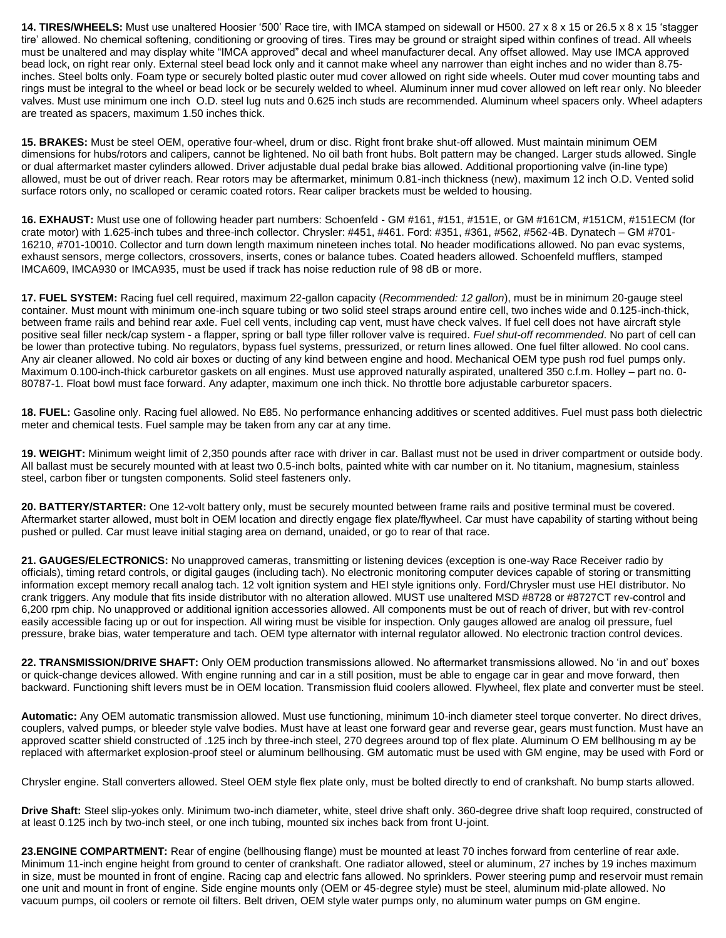**14. TIRES/WHEELS:** Must use unaltered Hoosier '500' Race tire, with IMCA stamped on sidewall or H500. 27 x 8 x 15 or 26.5 x 8 x 15 'stagger tire' allowed. No chemical softening, conditioning or grooving of tires. Tires may be ground or straight siped within confines of tread. All wheels must be unaltered and may display white "IMCA approved" decal and wheel manufacturer decal. Any offset allowed. May use IMCA approved bead lock, on right rear only. External steel bead lock only and it cannot make wheel any narrower than eight inches and no wider than 8.75 inches. Steel bolts only. Foam type or securely bolted plastic outer mud cover allowed on right side wheels. Outer mud cover mounting tabs and rings must be integral to the wheel or bead lock or be securely welded to wheel. Aluminum inner mud cover allowed on left rear only. No bleeder valves. Must use minimum one inch O.D. steel lug nuts and 0.625 inch studs are recommended. Aluminum wheel spacers only. Wheel adapters are treated as spacers, maximum 1.50 inches thick.

**15. BRAKES:** Must be steel OEM, operative four-wheel, drum or disc. Right front brake shut-off allowed. Must maintain minimum OEM dimensions for hubs/rotors and calipers, cannot be lightened. No oil bath front hubs. Bolt pattern may be changed. Larger studs allowed. Single or dual aftermarket master cylinders allowed. Driver adjustable dual pedal brake bias allowed. Additional proportioning valve (in-line type) allowed, must be out of driver reach. Rear rotors may be aftermarket, minimum 0.81-inch thickness (new), maximum 12 inch O.D. Vented solid surface rotors only, no scalloped or ceramic coated rotors. Rear caliper brackets must be welded to housing.

16. EXHAUST: Must use one of following header part numbers: Schoenfeld - GM #161, #151, #151E, or GM #161CM, #151CM, #151ECM (for crate motor) with 1.625-inch tubes and three-inch collector. Chrysler: #451, #461. Ford: #351, #361, #562, #562-4B. Dynatech – GM #701- 16210, #701-10010. Collector and turn down length maximum nineteen inches total. No header modifications allowed. No pan evac systems, exhaust sensors, merge collectors, crossovers, inserts, cones or balance tubes. Coated headers allowed. Schoenfeld mufflers, stamped IMCA609, IMCA930 or IMCA935, must be used if track has noise reduction rule of 98 dB or more.

**17. FUEL SYSTEM:** Racing fuel cell required, maximum 22-gallon capacity (*Recommended: 12 gallon*), must be in minimum 20-gauge steel container. Must mount with minimum one-inch square tubing or two solid steel straps around entire cell, two inches wide and 0.125-inch-thick, between frame rails and behind rear axle. Fuel cell vents, including cap vent, must have check valves. If fuel cell does not have aircraft style positive seal filler neck/cap system - a flapper, spring or ball type filler rollover valve is required. *Fuel shut-off recommended*. No part of cell can be lower than protective tubing. No regulators, bypass fuel systems, pressurized, or return lines allowed. One fuel filter allowed. No cool cans. Any air cleaner allowed. No cold air boxes or ducting of any kind between engine and hood. Mechanical OEM type push rod fuel pumps only. Maximum 0.100-inch-thick carburetor gaskets on all engines. Must use approved naturally aspirated, unaltered 350 c.f.m. Holley – part no. 0- 80787-1. Float bowl must face forward. Any adapter, maximum one inch thick. No throttle bore adjustable carburetor spacers.

**18. FUEL:** Gasoline only. Racing fuel allowed. No E85. No performance enhancing additives or scented additives. Fuel must pass both dielectric meter and chemical tests. Fuel sample may be taken from any car at any time.

**19. WEIGHT:** Minimum weight limit of 2,350 pounds after race with driver in car. Ballast must not be used in driver compartment or outside body. All ballast must be securely mounted with at least two 0.5-inch bolts, painted white with car number on it. No titanium, magnesium, stainless steel, carbon fiber or tungsten components. Solid steel fasteners only.

**20. BATTERY/STARTER:** One 12-volt battery only, must be securely mounted between frame rails and positive terminal must be covered. Aftermarket starter allowed, must bolt in OEM location and directly engage flex plate/flywheel. Car must have capability of starting without being pushed or pulled. Car must leave initial staging area on demand, unaided, or go to rear of that race.

**21. GAUGES/ELECTRONICS:** No unapproved cameras, transmitting or listening devices (exception is one-way Race Receiver radio by officials), timing retard controls, or digital gauges (including tach). No electronic monitoring computer devices capable of storing or transmitting information except memory recall analog tach. 12 volt ignition system and HEI style ignitions only. Ford/Chrysler must use HEI distributor. No crank triggers. Any module that fits inside distributor with no alteration allowed. MUST use unaltered MSD #8728 or #8727CT rev-control and 6,200 rpm chip. No unapproved or additional ignition accessories allowed. All components must be out of reach of driver, but with rev-control easily accessible facing up or out for inspection. All wiring must be visible for inspection. Only gauges allowed are analog oil pressure, fuel pressure, brake bias, water temperature and tach. OEM type alternator with internal regulator allowed. No electronic traction control devices.

**22. TRANSMISSION/DRIVE SHAFT:** Only OEM production transmissions allowed. No aftermarket transmissions allowed. No 'in and out' boxes or quick-change devices allowed. With engine running and car in a still position, must be able to engage car in gear and move forward, then backward. Functioning shift levers must be in OEM location. Transmission fluid coolers allowed. Flywheel, flex plate and converter must be steel.

**Automatic:** Any OEM automatic transmission allowed. Must use functioning, minimum 10-inch diameter steel torque converter. No direct drives, couplers, valved pumps, or bleeder style valve bodies. Must have at least one forward gear and reverse gear, gears must function. Must have an approved scatter shield constructed of .125 inch by three-inch steel, 270 degrees around top of flex plate. Aluminum O EM bellhousing m ay be replaced with aftermarket explosion-proof steel or aluminum bellhousing. GM automatic must be used with GM engine, may be used with Ford or

Chrysler engine. Stall converters allowed. Steel OEM style flex plate only, must be bolted directly to end of crankshaft. No bump starts allowed.

**Drive Shaft:** Steel slip-yokes only. Minimum two-inch diameter, white, steel drive shaft only. 360-degree drive shaft loop required, constructed of at least 0.125 inch by two-inch steel, or one inch tubing, mounted six inches back from front U-joint.

**23.ENGINE COMPARTMENT:** Rear of engine (bellhousing flange) must be mounted at least 70 inches forward from centerline of rear axle. Minimum 11-inch engine height from ground to center of crankshaft. One radiator allowed, steel or aluminum, 27 inches by 19 inches maximum in size, must be mounted in front of engine. Racing cap and electric fans allowed. No sprinklers. Power steering pump and reservoir must remain one unit and mount in front of engine. Side engine mounts only (OEM or 45-degree style) must be steel, aluminum mid-plate allowed. No vacuum pumps, oil coolers or remote oil filters. Belt driven, OEM style water pumps only, no aluminum water pumps on GM engine.